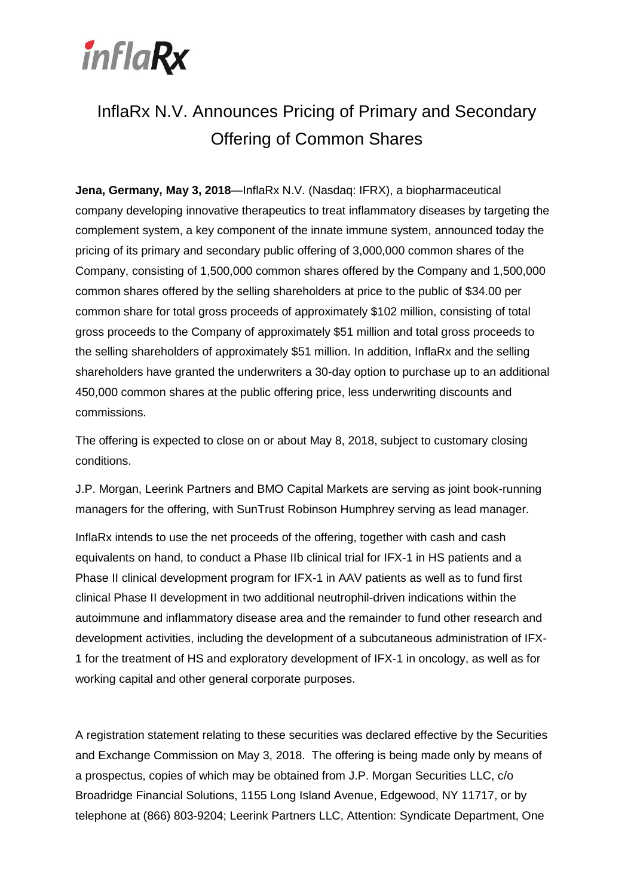

# InflaRx N.V. Announces Pricing of Primary and Secondary Offering of Common Shares

**Jena, Germany, May 3, 2018**—InflaRx N.V. (Nasdaq: IFRX), a biopharmaceutical company developing innovative therapeutics to treat inflammatory diseases by targeting the complement system, a key component of the innate immune system, announced today the pricing of its primary and secondary public offering of 3,000,000 common shares of the Company, consisting of 1,500,000 common shares offered by the Company and 1,500,000 common shares offered by the selling shareholders at price to the public of \$34.00 per common share for total gross proceeds of approximately \$102 million, consisting of total gross proceeds to the Company of approximately \$51 million and total gross proceeds to the selling shareholders of approximately \$51 million. In addition, InflaRx and the selling shareholders have granted the underwriters a 30-day option to purchase up to an additional 450,000 common shares at the public offering price, less underwriting discounts and commissions.

The offering is expected to close on or about May 8, 2018, subject to customary closing conditions.

J.P. Morgan, Leerink Partners and BMO Capital Markets are serving as joint book-running managers for the offering, with SunTrust Robinson Humphrey serving as lead manager.

InflaRx intends to use the net proceeds of the offering, together with cash and cash equivalents on hand, to conduct a Phase IIb clinical trial for IFX-1 in HS patients and a Phase II clinical development program for IFX-1 in AAV patients as well as to fund first clinical Phase II development in two additional neutrophil-driven indications within the autoimmune and inflammatory disease area and the remainder to fund other research and development activities, including the development of a subcutaneous administration of IFX-1 for the treatment of HS and exploratory development of IFX-1 in oncology, as well as for working capital and other general corporate purposes.

A registration statement relating to these securities was declared effective by the Securities and Exchange Commission on May 3, 2018. The offering is being made only by means of a prospectus, copies of which may be obtained from J.P. Morgan Securities LLC, c/o Broadridge Financial Solutions, 1155 Long Island Avenue, Edgewood, NY 11717, or by telephone at (866) 803-9204; Leerink Partners LLC, Attention: Syndicate Department, One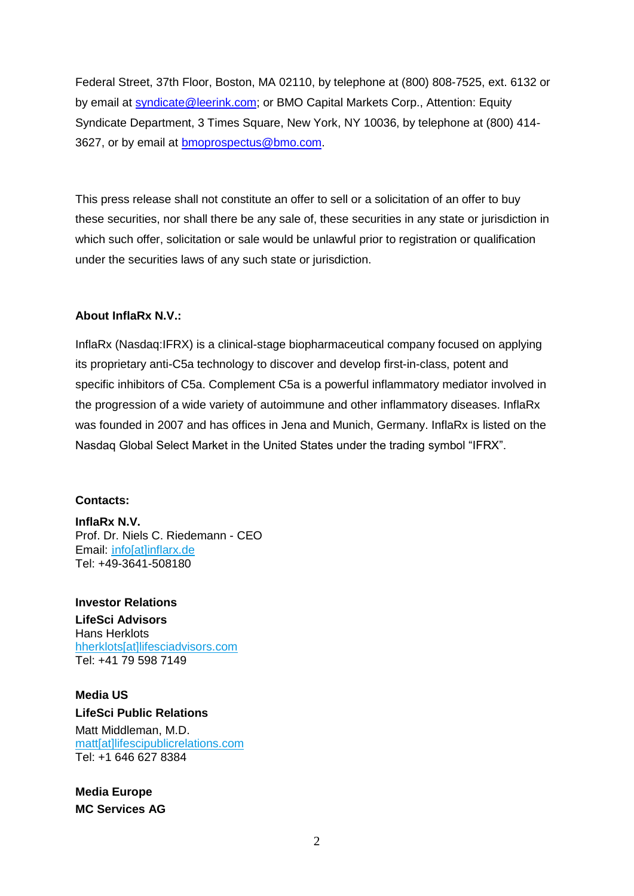Federal Street, 37th Floor, Boston, MA 02110, by telephone at (800) 808-7525, ext. 6132 or by email at [syndicate@leerink.com;](mailto:syndicate@leerink.com) or BMO Capital Markets Corp., Attention: Equity Syndicate Department, 3 Times Square, New York, NY 10036, by telephone at (800) 414- 3627, or by email at [bmoprospectus@bmo.com.](mailto:bmoprospectus@bmo.com)

This press release shall not constitute an offer to sell or a solicitation of an offer to buy these securities, nor shall there be any sale of, these securities in any state or jurisdiction in which such offer, solicitation or sale would be unlawful prior to registration or qualification under the securities laws of any such state or jurisdiction.

### **About InflaRx N.V.:**

InflaRx (Nasdaq:IFRX) is a clinical-stage biopharmaceutical company focused on applying its proprietary anti-C5a technology to discover and develop first-in-class, potent and specific inhibitors of C5a. Complement C5a is a powerful inflammatory mediator involved in the progression of a wide variety of autoimmune and other inflammatory diseases. InflaRx was founded in 2007 and has offices in Jena and Munich, Germany. InflaRx is listed on the Nasdaq Global Select Market in the United States under the trading symbol "IFRX".

## **Contacts:**

**InflaRx N.V.** Prof. Dr. Niels C. Riedemann - CEO Email: i[nfo\[at\]inflarx.de](mailto:info@inflarx.de) Tel: +49-3641-508180

**Investor Relations LifeSci Advisors** Hans Herklots [hherklots\[at\]lifesciadvisors.com](mailto:hherklots@lifesciadvisors.com) Tel: +41 79 598 7149

## **Media US LifeSci Public Relations**

Matt Middleman, M.D. [matt\[at\]lifescipublicrelations.com](mailto:matt@lifescipublicrelations.com) Tel: +1 646 627 8384

**Media Europe MC Services AG**